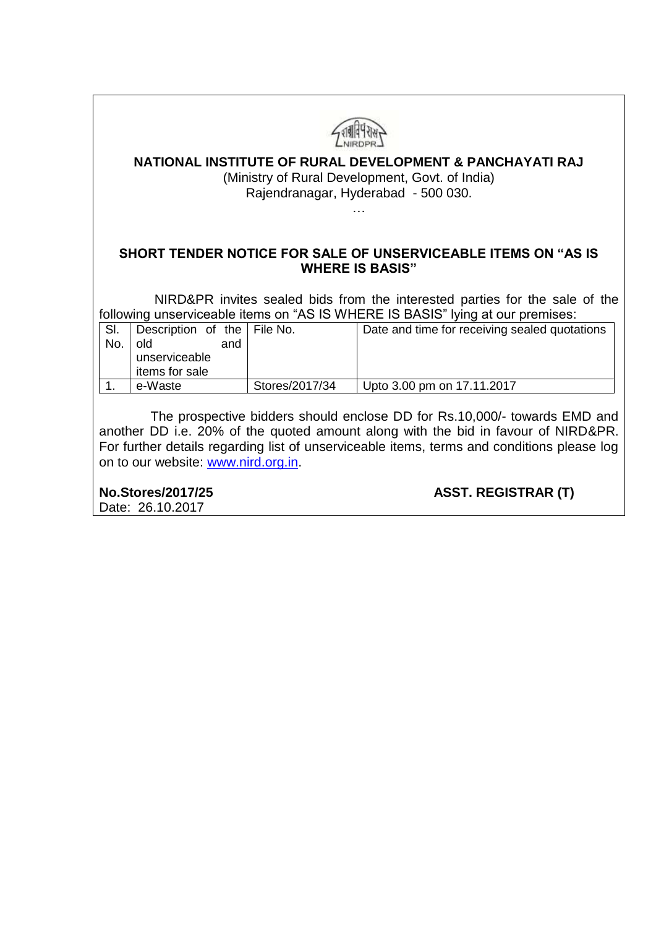| NATIONAL INSTITUTE OF RURAL DEVELOPMENT & PANCHAYATI RAJ<br>(Ministry of Rural Development, Govt. of India)<br>Rajendranagar, Hyderabad - 500 030. |                                                                                |                |                                               |  |  |  |  |
|----------------------------------------------------------------------------------------------------------------------------------------------------|--------------------------------------------------------------------------------|----------------|-----------------------------------------------|--|--|--|--|
|                                                                                                                                                    |                                                                                |                |                                               |  |  |  |  |
| SHORT TENDER NOTICE FOR SALE OF UNSERVICEABLE ITEMS ON "AS IS<br><b>WHERE IS BASIS"</b>                                                            |                                                                                |                |                                               |  |  |  |  |
| NIRD&PR invites sealed bids from the interested parties for the sale of the                                                                        |                                                                                |                |                                               |  |  |  |  |
|                                                                                                                                                    | following unserviceable items on "AS IS WHERE IS BASIS" lying at our premises: |                |                                               |  |  |  |  |
| SI.<br>No.                                                                                                                                         | Description of the<br>old<br>and                                               | ∣ File No.     | Date and time for receiving sealed quotations |  |  |  |  |
|                                                                                                                                                    | unserviceable<br>items for sale                                                |                |                                               |  |  |  |  |
|                                                                                                                                                    | e-Waste                                                                        | Stores/2017/34 | Upto 3.00 pm on 17.11.2017                    |  |  |  |  |

 The prospective bidders should enclose DD for Rs.10,000/- towards EMD and another DD i.e. 20% of the quoted amount along with the bid in favour of NIRD&PR. For further details regarding list of unserviceable items, terms and conditions please log on to our website: [www.nird.org.in.](http://www.nird.org.in/)

**No.Stores/2017/25 ASST. REGISTRAR (T)**

Date: 26.10.2017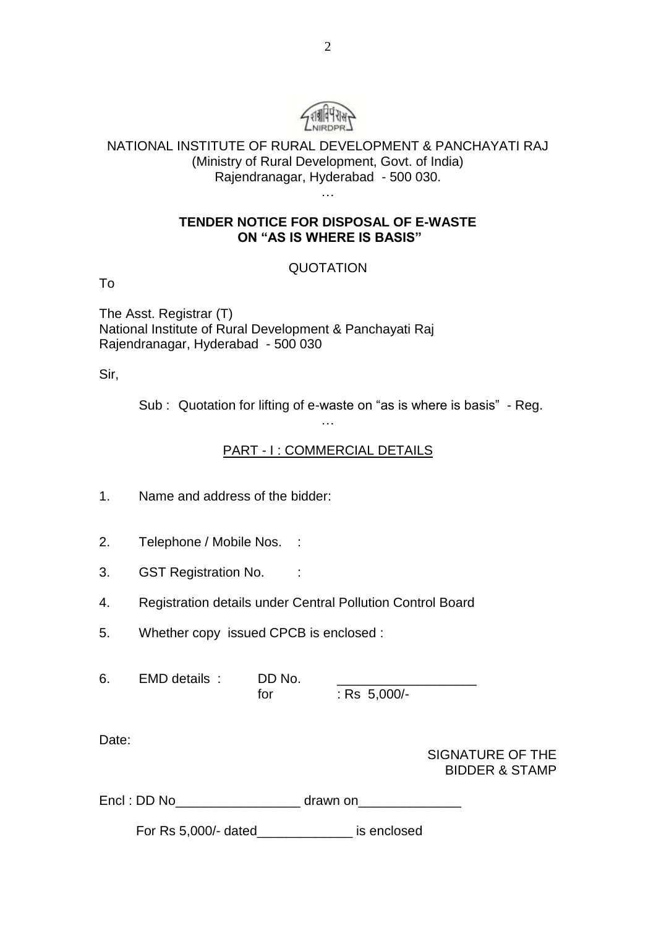

## NATIONAL INSTITUTE OF RURAL DEVELOPMENT & PANCHAYATI RAJ (Ministry of Rural Development, Govt. of India) Rajendranagar, Hyderabad - 500 030.

…

### **TENDER NOTICE FOR DISPOSAL OF E-WASTE ON "AS IS WHERE IS BASIS"**

# QUOTATION

To

The Asst. Registrar (T) National Institute of Rural Development & Panchayati Raj Rajendranagar, Hyderabad - 500 030

Sir,

Sub : Quotation for lifting of e-waste on "as is where is basis" - Reg.

## PART - I : COMMERCIAL DETAILS

…

1. Name and address of the bidder:

- 2. Telephone / Mobile Nos. :
- 3. GST Registration No. :
- 4. Registration details under Central Pollution Control Board
- 5. Whether copy issued CPCB is enclosed :

6. EMD details : DD No. for : Rs 5,000/-

Date:

| SIGNATURE OF THE          |
|---------------------------|
| <b>BIDDER &amp; STAMP</b> |

Encl : DD No\_\_\_\_\_\_\_\_\_\_\_\_\_\_\_\_\_ drawn on\_\_\_\_\_\_\_\_\_\_\_\_\_\_

For Rs 5,000/- dated\_\_\_\_\_\_\_\_\_\_\_\_\_ is enclosed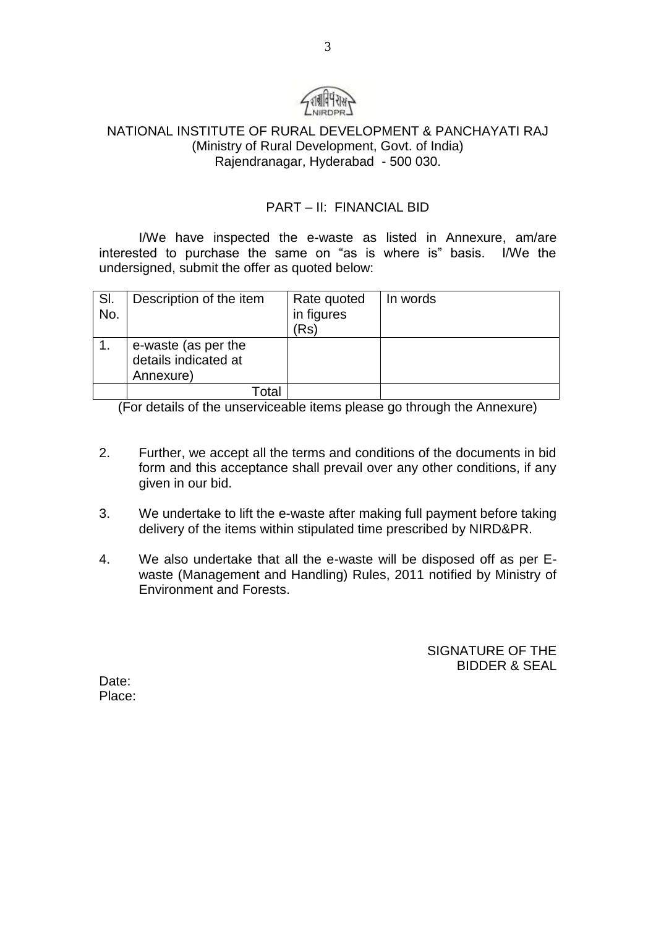

### NATIONAL INSTITUTE OF RURAL DEVELOPMENT & PANCHAYATI RAJ (Ministry of Rural Development, Govt. of India) Rajendranagar, Hyderabad - 500 030.

### PART – II: FINANCIAL BID

I/We have inspected the e-waste as listed in Annexure, am/are interested to purchase the same on "as is where is" basis. I/We the undersigned, submit the offer as quoted below:

| SI.<br>No. | Description of the item                                  | Rate quoted<br>in figures<br>(Rs | In words |
|------------|----------------------------------------------------------|----------------------------------|----------|
|            | e-waste (as per the<br>details indicated at<br>Annexure) |                                  |          |
|            | Гоtal                                                    |                                  |          |

(For details of the unserviceable items please go through the Annexure)

- 2. Further, we accept all the terms and conditions of the documents in bid form and this acceptance shall prevail over any other conditions, if any given in our bid.
- 3. We undertake to lift the e-waste after making full payment before taking delivery of the items within stipulated time prescribed by NIRD&PR.
- 4. We also undertake that all the e-waste will be disposed off as per Ewaste (Management and Handling) Rules, 2011 notified by Ministry of Environment and Forests.

SIGNATURE OF THE BIDDER & SEAL

Date: Place: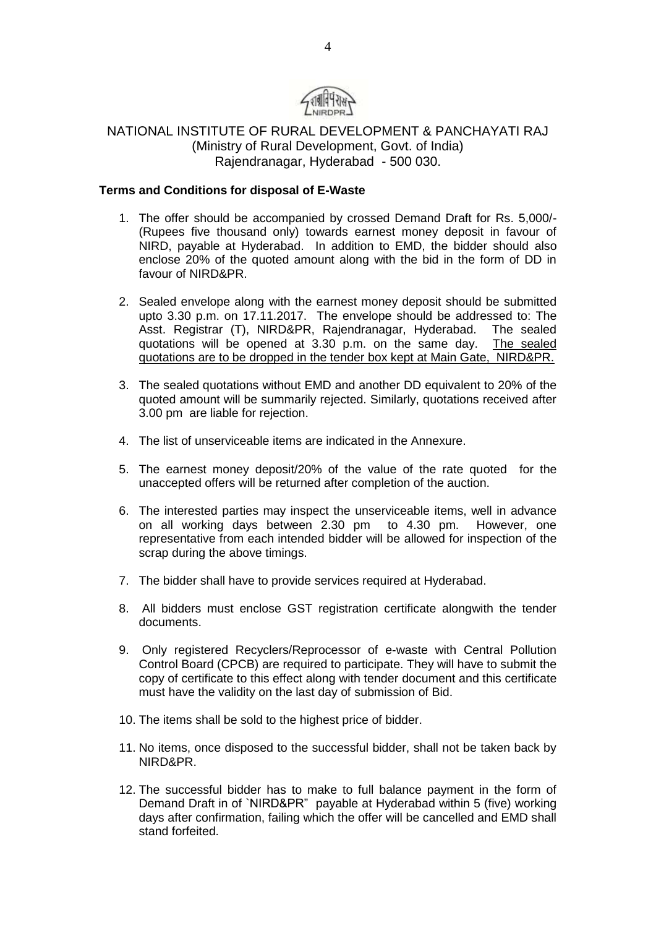

### NATIONAL INSTITUTE OF RURAL DEVELOPMENT & PANCHAYATI RAJ (Ministry of Rural Development, Govt. of India) Rajendranagar, Hyderabad - 500 030.

#### **Terms and Conditions for disposal of E-Waste**

- 1. The offer should be accompanied by crossed Demand Draft for Rs. 5,000/- (Rupees five thousand only) towards earnest money deposit in favour of NIRD, payable at Hyderabad. In addition to EMD, the bidder should also enclose 20% of the quoted amount along with the bid in the form of DD in favour of NIRD&PR.
- 2. Sealed envelope along with the earnest money deposit should be submitted upto 3.30 p.m. on 17.11.2017. The envelope should be addressed to: The Asst. Registrar (T), NIRD&PR, Rajendranagar, Hyderabad. The sealed quotations will be opened at 3.30 p.m. on the same day. The sealed quotations are to be dropped in the tender box kept at Main Gate, NIRD&PR.
- 3. The sealed quotations without EMD and another DD equivalent to 20% of the quoted amount will be summarily rejected. Similarly, quotations received after 3.00 pm are liable for rejection.
- 4. The list of unserviceable items are indicated in the Annexure.
- 5. The earnest money deposit/20% of the value of the rate quoted for the unaccepted offers will be returned after completion of the auction.
- 6. The interested parties may inspect the unserviceable items, well in advance on all working days between 2.30 pm to 4.30 pm. However, one representative from each intended bidder will be allowed for inspection of the scrap during the above timings.
- 7. The bidder shall have to provide services required at Hyderabad.
- 8. All bidders must enclose GST registration certificate alongwith the tender documents.
- 9. Only registered Recyclers/Reprocessor of e-waste with Central Pollution Control Board (CPCB) are required to participate. They will have to submit the copy of certificate to this effect along with tender document and this certificate must have the validity on the last day of submission of Bid.
- 10. The items shall be sold to the highest price of bidder.
- 11. No items, once disposed to the successful bidder, shall not be taken back by NIRD&PR.
- 12. The successful bidder has to make to full balance payment in the form of Demand Draft in of `NIRD&PR" payable at Hyderabad within 5 (five) working days after confirmation, failing which the offer will be cancelled and EMD shall stand forfeited.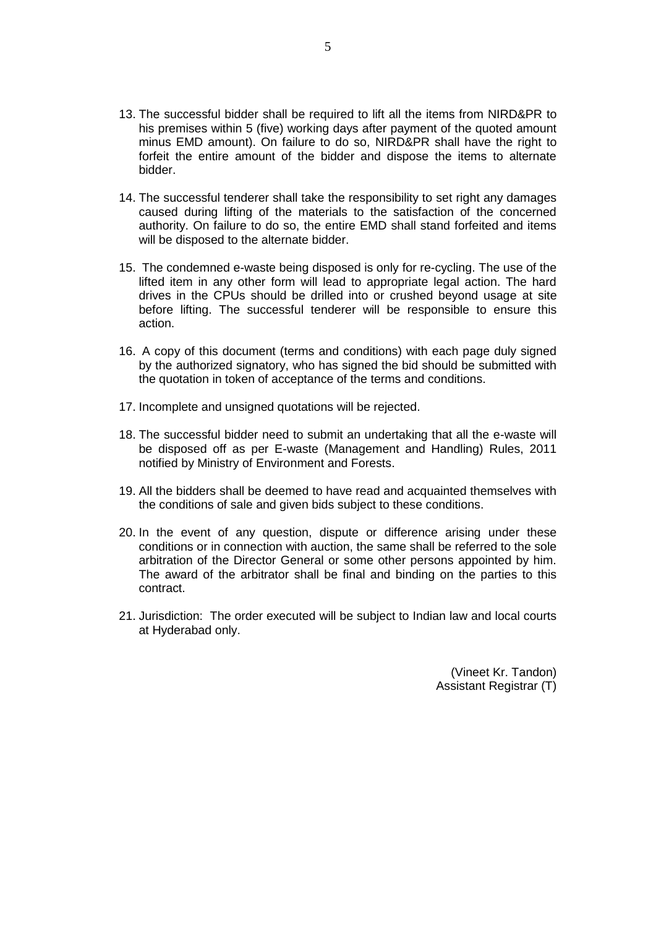- 13. The successful bidder shall be required to lift all the items from NIRD&PR to his premises within 5 (five) working days after payment of the quoted amount minus EMD amount). On failure to do so, NIRD&PR shall have the right to forfeit the entire amount of the bidder and dispose the items to alternate bidder.
- 14. The successful tenderer shall take the responsibility to set right any damages caused during lifting of the materials to the satisfaction of the concerned authority. On failure to do so, the entire EMD shall stand forfeited and items will be disposed to the alternate bidder.
- 15. The condemned e-waste being disposed is only for re-cycling. The use of the lifted item in any other form will lead to appropriate legal action. The hard drives in the CPUs should be drilled into or crushed beyond usage at site before lifting. The successful tenderer will be responsible to ensure this action.
- 16. A copy of this document (terms and conditions) with each page duly signed by the authorized signatory, who has signed the bid should be submitted with the quotation in token of acceptance of the terms and conditions.
- 17. Incomplete and unsigned quotations will be rejected.
- 18. The successful bidder need to submit an undertaking that all the e-waste will be disposed off as per E-waste (Management and Handling) Rules, 2011 notified by Ministry of Environment and Forests.
- 19. All the bidders shall be deemed to have read and acquainted themselves with the conditions of sale and given bids subject to these conditions.
- 20. In the event of any question, dispute or difference arising under these conditions or in connection with auction, the same shall be referred to the sole arbitration of the Director General or some other persons appointed by him. The award of the arbitrator shall be final and binding on the parties to this contract.
- 21. Jurisdiction: The order executed will be subject to Indian law and local courts at Hyderabad only.

(Vineet Kr. Tandon) Assistant Registrar (T)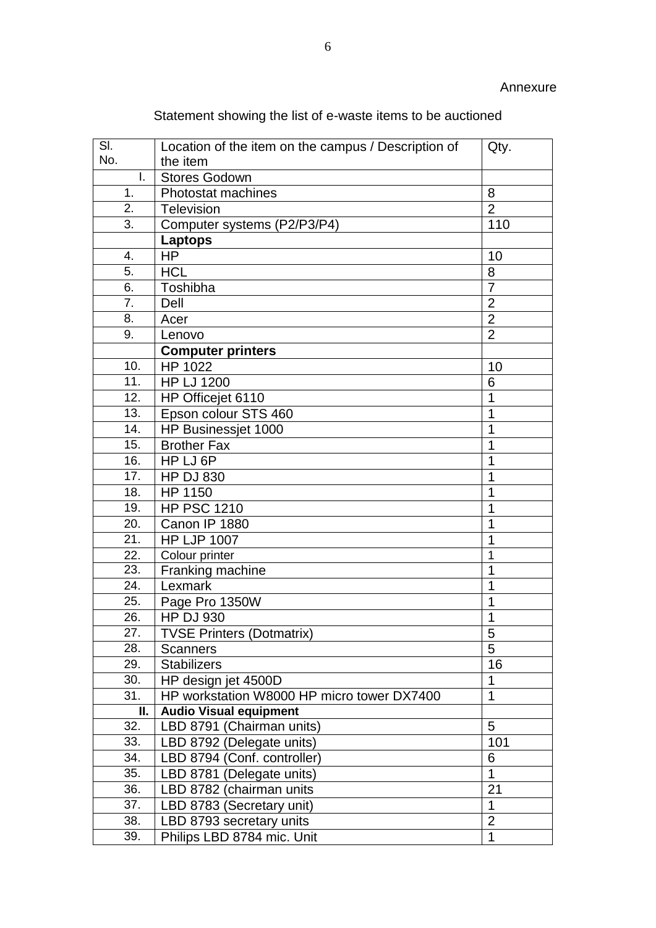| SI.                      | Location of the item on the campus / Description of | Qty.                |  |
|--------------------------|-----------------------------------------------------|---------------------|--|
| No.                      | the item                                            |                     |  |
| I.                       | <b>Stores Godown</b>                                |                     |  |
| 1.                       | Photostat machines                                  | 8                   |  |
| 2.                       | <b>Television</b>                                   | $\overline{2}$      |  |
| 3.                       | Computer systems (P2/P3/P4)                         | 110                 |  |
|                          | Laptops                                             |                     |  |
| 4.                       | <b>HP</b>                                           | 10                  |  |
| 5.                       | <b>HCL</b>                                          | 8                   |  |
| 6.                       | Toshibha                                            | $\overline{7}$      |  |
| 7.                       | Dell                                                | $\overline{2}$      |  |
| 8.                       | Acer                                                | $\overline{2}$      |  |
| 9.                       | Lenovo                                              | $\overline{2}$      |  |
|                          | <b>Computer printers</b>                            |                     |  |
| 10.                      | HP 1022                                             | 10                  |  |
| 11.                      | <b>HP LJ 1200</b>                                   | 6                   |  |
| 12.                      | HP Officejet 6110                                   | $\mathbf{1}$        |  |
| 13.                      | Epson colour STS 460                                | 1                   |  |
| 14.                      | HP Businessjet 1000                                 | 1                   |  |
| 15.                      | <b>Brother Fax</b>                                  | 1                   |  |
| 16.                      | HP LJ 6P                                            | 1                   |  |
| 17.                      | <b>HP DJ 830</b>                                    | 1                   |  |
| 18.                      | HP 1150                                             | 1                   |  |
| 19.                      | <b>HP PSC 1210</b>                                  | 1                   |  |
| 20.                      | Canon IP 1880                                       | 1                   |  |
| 21.                      | <b>HP LJP 1007</b>                                  | 1                   |  |
| 22.                      | Colour printer                                      | 1                   |  |
| 23.                      | Franking machine                                    | 1                   |  |
| 24.                      | Lexmark                                             | 1                   |  |
| 25.                      | Page Pro 1350W                                      | 1                   |  |
| 26.                      | <b>HP DJ 930</b>                                    | 1                   |  |
| $\overline{27}$ .<br>28. | <b>TVSE Printers (Dotmatrix)</b>                    | $\overline{5}$<br>5 |  |
| 29.                      | Scanners<br><b>Stabilizers</b>                      | 16                  |  |
| 30.                      | HP design jet 4500D                                 | $\mathbf 1$         |  |
| 31.                      | HP workstation W8000 HP micro tower DX7400          | $\overline{1}$      |  |
| П.                       | <b>Audio Visual equipment</b>                       |                     |  |
| 32.                      | LBD 8791 (Chairman units)                           | 5                   |  |
| 33.                      | LBD 8792 (Delegate units)                           | 101                 |  |
| 34.                      | LBD 8794 (Conf. controller)                         | 6                   |  |
| 35.                      | LBD 8781 (Delegate units)                           | $\overline{1}$      |  |
| 36.                      | LBD 8782 (chairman units                            | 21                  |  |
| 37.                      | LBD 8783 (Secretary unit)                           | $\mathbf 1$         |  |
| 38.                      | LBD 8793 secretary units                            | $\overline{2}$      |  |
| 39.                      | Philips LBD 8784 mic. Unit                          | $\mathbf{1}$        |  |

Statement showing the list of e-waste items to be auctioned